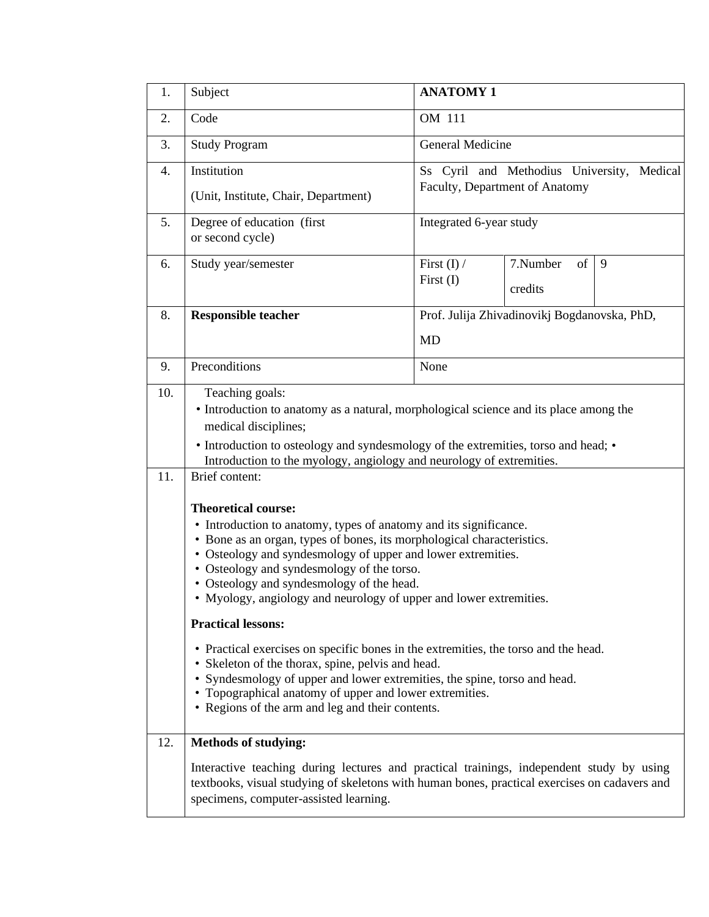| 1.         | Subject                                                                                                                                                                                                                                                                                                                                                                                                                                                                                                                                                                                                                                                                                                                                                                                                                                                                   | <b>ANATOMY 1</b>                                                                |  |  |  |  |  |
|------------|---------------------------------------------------------------------------------------------------------------------------------------------------------------------------------------------------------------------------------------------------------------------------------------------------------------------------------------------------------------------------------------------------------------------------------------------------------------------------------------------------------------------------------------------------------------------------------------------------------------------------------------------------------------------------------------------------------------------------------------------------------------------------------------------------------------------------------------------------------------------------|---------------------------------------------------------------------------------|--|--|--|--|--|
| 2.         | Code                                                                                                                                                                                                                                                                                                                                                                                                                                                                                                                                                                                                                                                                                                                                                                                                                                                                      | OM 111                                                                          |  |  |  |  |  |
| 3.         | <b>Study Program</b>                                                                                                                                                                                                                                                                                                                                                                                                                                                                                                                                                                                                                                                                                                                                                                                                                                                      | General Medicine                                                                |  |  |  |  |  |
| 4.         | Institution                                                                                                                                                                                                                                                                                                                                                                                                                                                                                                                                                                                                                                                                                                                                                                                                                                                               | Ss Cyril and Methodius University,<br>Medical<br>Faculty, Department of Anatomy |  |  |  |  |  |
|            | (Unit, Institute, Chair, Department)                                                                                                                                                                                                                                                                                                                                                                                                                                                                                                                                                                                                                                                                                                                                                                                                                                      |                                                                                 |  |  |  |  |  |
| 5.         | Degree of education (first<br>or second cycle)                                                                                                                                                                                                                                                                                                                                                                                                                                                                                                                                                                                                                                                                                                                                                                                                                            | Integrated 6-year study                                                         |  |  |  |  |  |
| 6.         | Study year/semester                                                                                                                                                                                                                                                                                                                                                                                                                                                                                                                                                                                                                                                                                                                                                                                                                                                       | First $(I)$ /<br>7.Number<br>of<br>9<br>First (I)<br>credits                    |  |  |  |  |  |
| 8.         | <b>Responsible teacher</b>                                                                                                                                                                                                                                                                                                                                                                                                                                                                                                                                                                                                                                                                                                                                                                                                                                                | Prof. Julija Zhivadinovikj Bogdanovska, PhD,                                    |  |  |  |  |  |
|            |                                                                                                                                                                                                                                                                                                                                                                                                                                                                                                                                                                                                                                                                                                                                                                                                                                                                           | <b>MD</b>                                                                       |  |  |  |  |  |
| 9.         | Preconditions                                                                                                                                                                                                                                                                                                                                                                                                                                                                                                                                                                                                                                                                                                                                                                                                                                                             | None                                                                            |  |  |  |  |  |
| 10.        | Teaching goals:<br>• Introduction to anatomy as a natural, morphological science and its place among the<br>medical disciplines;<br>• Introduction to osteology and syndesmology of the extremities, torso and head; •                                                                                                                                                                                                                                                                                                                                                                                                                                                                                                                                                                                                                                                    |                                                                                 |  |  |  |  |  |
| 11.<br>12. | Introduction to the myology, angiology and neurology of extremities.<br>Brief content:<br><b>Theoretical course:</b><br>• Introduction to anatomy, types of anatomy and its significance.<br>• Bone as an organ, types of bones, its morphological characteristics.<br>• Osteology and syndesmology of upper and lower extremities.<br>• Osteology and syndesmology of the torso.<br>• Osteology and syndesmology of the head.<br>• Myology, angiology and neurology of upper and lower extremities.<br><b>Practical lessons:</b><br>• Practical exercises on specific bones in the extremities, the torso and the head.<br>• Skeleton of the thorax, spine, pelvis and head.<br>• Syndesmology of upper and lower extremities, the spine, torso and head.<br>• Topographical anatomy of upper and lower extremities.<br>• Regions of the arm and leg and their contents. |                                                                                 |  |  |  |  |  |
|            | <b>Methods of studying:</b><br>Interactive teaching during lectures and practical trainings, independent study by using<br>textbooks, visual studying of skeletons with human bones, practical exercises on cadavers and<br>specimens, computer-assisted learning.                                                                                                                                                                                                                                                                                                                                                                                                                                                                                                                                                                                                        |                                                                                 |  |  |  |  |  |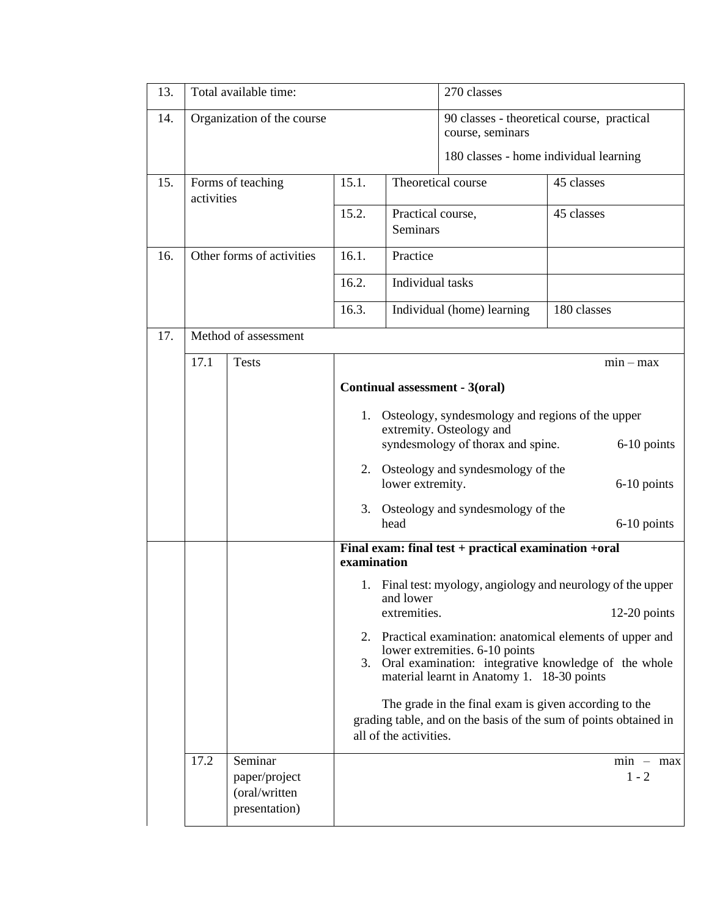| 13. | Total available time:      |                                                            |                         |                                                                                                                                                                                                                                                                                                                                                                                                                                                     | 270 classes                                                                                                                                                                                                                                                                                                                                                                 |                          |  |
|-----|----------------------------|------------------------------------------------------------|-------------------------|-----------------------------------------------------------------------------------------------------------------------------------------------------------------------------------------------------------------------------------------------------------------------------------------------------------------------------------------------------------------------------------------------------------------------------------------------------|-----------------------------------------------------------------------------------------------------------------------------------------------------------------------------------------------------------------------------------------------------------------------------------------------------------------------------------------------------------------------------|--------------------------|--|
| 14. | Organization of the course |                                                            |                         |                                                                                                                                                                                                                                                                                                                                                                                                                                                     | 90 classes - theoretical course, practical<br>course, seminars<br>180 classes - home individual learning                                                                                                                                                                                                                                                                    |                          |  |
| 15. | activities                 | Forms of teaching                                          | 15.1.<br>15.2.          | Theoretical course<br>Practical course,<br><b>Seminars</b>                                                                                                                                                                                                                                                                                                                                                                                          |                                                                                                                                                                                                                                                                                                                                                                             | 45 classes<br>45 classes |  |
| 16. |                            | Other forms of activities                                  | 16.1.<br>16.2.<br>16.3. | Practice                                                                                                                                                                                                                                                                                                                                                                                                                                            | Individual tasks<br>Individual (home) learning                                                                                                                                                                                                                                                                                                                              |                          |  |
| 17. |                            | Method of assessment                                       |                         |                                                                                                                                                                                                                                                                                                                                                                                                                                                     |                                                                                                                                                                                                                                                                                                                                                                             | 180 classes              |  |
|     | 17.1                       | <b>Tests</b>                                               | 3.<br>examination       | $min - max$<br>Continual assessment - 3(oral)<br>1. Osteology, syndesmology and regions of the upper<br>extremity. Osteology and<br>syndesmology of thorax and spine.<br>6-10 points<br>2. Osteology and syndesmology of the<br>lower extremity.<br>6-10 points<br>Osteology and syndesmology of the<br>head<br>6-10 points<br>Final exam: final test + practical examination +oral<br>1. Final test: myology, angiology and neurology of the upper |                                                                                                                                                                                                                                                                                                                                                                             |                          |  |
|     | 17.2                       | Seminar<br>paper/project<br>(oral/written<br>presentation) | 3.                      | and lower<br>extremities.<br>all of the activities.                                                                                                                                                                                                                                                                                                                                                                                                 | $12-20$ points<br>2. Practical examination: anatomical elements of upper and<br>lower extremities. 6-10 points<br>Oral examination: integrative knowledge of the whole<br>material learnt in Anatomy 1. 18-30 points<br>The grade in the final exam is given according to the<br>grading table, and on the basis of the sum of points obtained in<br>$min - max$<br>$1 - 2$ |                          |  |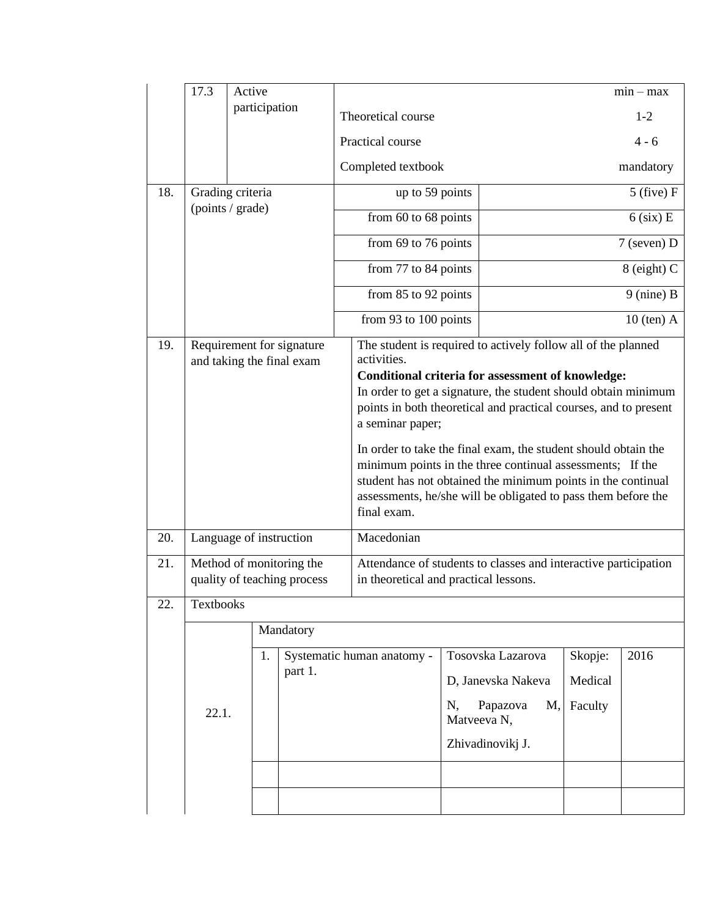|     | 17.3                                                   | Active                   |                                                                                                                                                                                                                                                                                                                                                                                                                                                                                                                                                                            |                                                                                                          |                               |              | $min - max$    |  |
|-----|--------------------------------------------------------|--------------------------|----------------------------------------------------------------------------------------------------------------------------------------------------------------------------------------------------------------------------------------------------------------------------------------------------------------------------------------------------------------------------------------------------------------------------------------------------------------------------------------------------------------------------------------------------------------------------|----------------------------------------------------------------------------------------------------------|-------------------------------|--------------|----------------|--|
|     |                                                        | participation            |                                                                                                                                                                                                                                                                                                                                                                                                                                                                                                                                                                            | Theoretical course                                                                                       |                               |              | $1-2$          |  |
|     |                                                        |                          |                                                                                                                                                                                                                                                                                                                                                                                                                                                                                                                                                                            | Practical course                                                                                         |                               |              | $4 - 6$        |  |
|     |                                                        |                          |                                                                                                                                                                                                                                                                                                                                                                                                                                                                                                                                                                            | Completed textbook                                                                                       |                               |              | mandatory      |  |
| 18. | Grading criteria                                       |                          |                                                                                                                                                                                                                                                                                                                                                                                                                                                                                                                                                                            | up to 59 points                                                                                          |                               |              | $5$ (five) $F$ |  |
|     | (points / grade)                                       |                          | from 60 to 68 points                                                                                                                                                                                                                                                                                                                                                                                                                                                                                                                                                       |                                                                                                          | $6$ (six) E                   |              |                |  |
|     |                                                        |                          |                                                                                                                                                                                                                                                                                                                                                                                                                                                                                                                                                                            | from 69 to 76 points                                                                                     |                               | 7 (seven) D  |                |  |
|     |                                                        |                          |                                                                                                                                                                                                                                                                                                                                                                                                                                                                                                                                                                            | from 77 to 84 points                                                                                     |                               | 8 (eight) C  |                |  |
|     |                                                        |                          |                                                                                                                                                                                                                                                                                                                                                                                                                                                                                                                                                                            | from 85 to 92 points                                                                                     |                               | $9$ (nine) B |                |  |
|     |                                                        |                          |                                                                                                                                                                                                                                                                                                                                                                                                                                                                                                                                                                            | from 93 to 100 points                                                                                    |                               | $10$ (ten) A |                |  |
| 19. | Requirement for signature<br>and taking the final exam |                          | The student is required to actively follow all of the planned<br>activities.<br>Conditional criteria for assessment of knowledge:<br>In order to get a signature, the student should obtain minimum<br>points in both theoretical and practical courses, and to present<br>a seminar paper;<br>In order to take the final exam, the student should obtain the<br>minimum points in the three continual assessments; If the<br>student has not obtained the minimum points in the continual<br>assessments, he/she will be obligated to pass them before the<br>final exam. |                                                                                                          |                               |              |                |  |
| 20. |                                                        | Language of instruction  |                                                                                                                                                                                                                                                                                                                                                                                                                                                                                                                                                                            | Macedonian                                                                                               |                               |              |                |  |
| 21. |                                                        | Method of monitoring the | quality of teaching process                                                                                                                                                                                                                                                                                                                                                                                                                                                                                                                                                | Attendance of students to classes and interactive participation<br>in theoretical and practical lessons. |                               |              |                |  |
| 22. | Textbooks                                              |                          |                                                                                                                                                                                                                                                                                                                                                                                                                                                                                                                                                                            |                                                                                                          |                               |              |                |  |
|     |                                                        |                          | Mandatory                                                                                                                                                                                                                                                                                                                                                                                                                                                                                                                                                                  |                                                                                                          |                               |              |                |  |
|     | 1.<br>part 1.<br>22.1.                                 |                          | Systematic human anatomy -                                                                                                                                                                                                                                                                                                                                                                                                                                                                                                                                                 | Tosovska Lazarova<br>D, Janevska Nakeva<br>Papazova<br>M,<br>N,<br>Matveeva N,<br>Zhivadinovikj J.       | Skopje:<br>Medical<br>Faculty | 2016         |                |  |